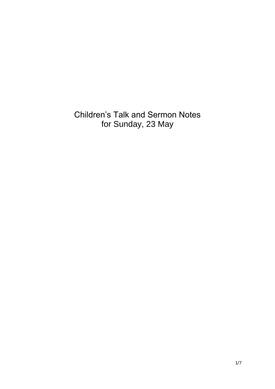Children's Talk and Sermon Notes for Sunday, 23 May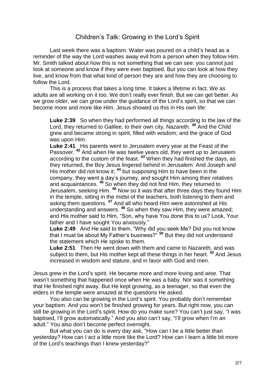## Children's Talk: Growing in the Lord's Spirit

Last week there was a baptism. Water was poured on a child's head as a reminder of the way the Lord washes away evil from a person when they follow Him. Mr. Smith talked about how this is not something that we can see: you cannot just look at someone and know if they were ever baptised. But you can look at how they live, and know from that what kind of person they are and how they are choosing to follow the Lord.

This is a process that takes a long time. It takes a lifetime in fact. We as adults are all working on it too. We don't really ever finish. But we can get better. As we grow older, we can grow under the guidance of the Lord's spirit, so that we can become more and more like Him. Jesus showed us this in His own life:

**Luke 2:39** So when they had performed all things according to the law of the Lord, they returned to Galilee, to their own city, Nazareth. **<sup>40</sup>** And the Child grew and became strong in spirit, filled with wisdom; and the grace of God was upon Him.

**Luke 2:41** His parents went to Jerusalem every year at the Feast of the Passover. **<sup>42</sup>** And when He was twelve years old, they went up to Jerusalem according to the custom of the feast. **<sup>43</sup>** When they had finished the days, as they returned, the Boy Jesus lingered behind in Jerusalem. And Joseph and His mother did not know it; **<sup>44</sup>** but supposing Him to have been in the company, they went a day's journey, and sought Him among their relatives and acquaintances. **<sup>45</sup>** So when they did not find Him, they returned to Jerusalem, seeking Him. **<sup>46</sup>** Now so it was that after three days they found Him in the temple, sitting in the midst of the teachers, both listening to them and asking them questions. **<sup>47</sup>** And all who heard Him were astonished at His understanding and answers. **<sup>48</sup>** So when they saw Him, they were amazed; and His mother said to Him, "Son, why have You done this to us? Look, Your father and I have sought You anxiously."

**Luke 2:49** And He said to them, "Why did you seek Me? Did you not know that I must be about My Father's business?" **<sup>50</sup>** But they did not understand the statement which He spoke to them.

**Luke 2:51** Then He went down with them and came to Nazareth, and was subject to them, but His mother kept all these things in her heart. **<sup>52</sup>** And Jesus increased in wisdom and stature, and in favor with God and men.

Jesus grew in the Lord's spirit. He became more and more loving and wise. That wasn't something that happened once when He was a baby. Nor was it something that He finished right away. But He kept growing, as a teenager, so that even the elders in the temple were amazed at the questions He asked.

You also can be growing in the Lord's spirit. You probably don't remember your baptism. And you won't be finished growing for years. But right now, you can still be growing in the Lord's spirit. How do you make sure? You can't just say, "I was baptised, I'll grow automatically." And you also can't say, "I'll grow when I'm an adult." You also don't become perfect overnight.

But what you can do is every day ask, "How can I be a little better than yesterday? How can I act a little more like the Lord? How can I learn a little bit more of the Lord's teachings than I knew yesterday?"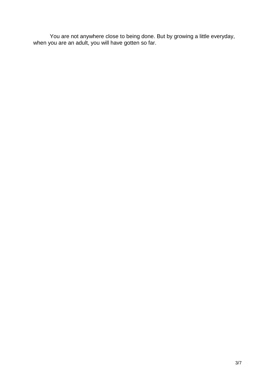You are not anywhere close to being done. But by growing a little everyday, when you are an adult, you will have gotten so far.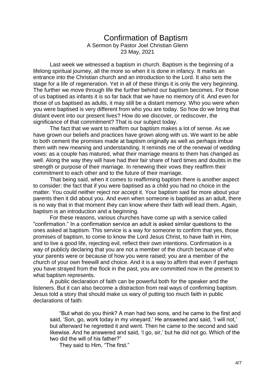## Confirmation of Baptism A Sermon by Pastor Joel Christian Glenn 23 May, 2021

Last week we witnessed a baptism in church. Baptism is the beginning of a lifelong spiritual journey, all the more so when it is done in infancy. It marks an entrance into the Christian church and an introduction to the Lord. It also sets the stage for a life of regeneration. Yet in all of these things it is only the very beginning. The further we move through life the further behind our baptism becomes. For those of us baptised as infants it is so far back that we have no memory of it. And even for those of us baptised as adults, it may still be a distant memory. Who you were when you were baptised is very different from who you are today. So how do we bring that distant event into our present lives? How do we discover, or rediscover, the significance of that commitment? That is our subject today.

The fact that we want to reaffirm our baptism makes a lot of sense. As we have grown our beliefs and practices have grown along with us. We want to be able to both cement the promises made at baptism originally as well as perhaps imbue them with new meaning and understanding. It reminds me of the renewal of wedding vows: as a couple has matured, what their marriage means to them has changed as well. Along the way they will have had their fair share of hard times and doubts in the strength or purpose of their marriage. In renewing their vows they reaffirm their commitment to each other and to the future of their marriage.

That being said, when it comes to reaffirming baptism there is another aspect to consider: the fact that if you were baptised as a child you had no choice in the matter. You could neither reject nor accept it. Your baptism said far more about your parents then it did about you. And even when someone is baptised as an adult, there is no way that in that moment they can know where their faith will lead them. Again, baptism is an introduction and a beginning.

For these reasons, various churches have come up with a service called "confirmation." In a confirmation service an adult is asked similar questions to the ones asked at baptism. This service is a way for someone to confirm that yes, those promises of baptism, to come to know the Lord Jesus Christ, to have faith in Him, and to live a good life, rejecting evil, reflect their own intentions. Confirmation is a way of publicly declaring that you are not a member of the church because of who your parents were or because of how you were raised; you are a member of the church of your own freewill and choice. And it is a way to affirm that even if perhaps you have strayed from the flock in the past, you are committed now in the present to what baptism represents.

A public declaration of faith can be powerful both for the speaker and the listeners. But it can also become a distraction from real ways of confirming baptism. Jesus told a story that should make us wary of putting too much faith in public declarations of faith:

"But what do you think? A man had two sons, and he came to the first and said, 'Son, go, work today in my vineyard.' He answered and said, 'I will not,' but afterward he regretted it and went. Then he came to the second and said likewise. And he answered and said, 'I go, sir,' but he did not go. Which of the two did the will of his father?"

They said to Him, "The first."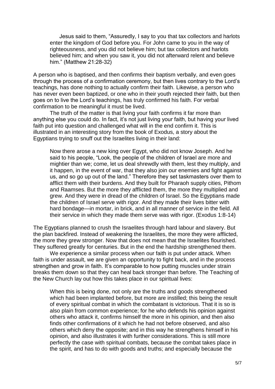Jesus said to them, "Assuredly, I say to you that tax collectors and harlots enter the kingdom of God before you. For John came to you in the way of righteousness, and you did not believe him; but tax collectors and harlots believed him; and when you saw it, you did not afterward relent and believe him." (Matthew 21:28-32)

A person who is baptised, and then confirms their baptism verbally, and even goes through the process of a confirmation ceremony, but then lives contrary to the Lord's teachings, has done nothing to actually confirm their faith. Likewise, a person who has never even been baptized, or one who in their youth rejected their faith, but then goes on to live the Lord's teachings, has truly confirmed his faith. For verbal confirmation to be meaningful it must be lived.

The truth of the matter is that living your faith confirms it far more than anything else you could do. In fact, it's not just living your faith, but having your lived faith put into question and challenged what will in the end confirm it. This is illustrated in an interesting story from the book of Exodus, a story about the Egyptians trying to snuff out the Israelites living in their land:

Now there arose a new king over Egypt, who did not know Joseph. And he said to his people, "Look, the people of the children of Israel are more and mightier than we; come, let us deal shrewdly with them, lest they multiply, and it happen, in the event of war, that they also join our enemies and fight against us, and so go up out of the land." Therefore they set taskmasters over them to afflict them with their burdens. And they built for Pharaoh supply cities, Pithom and Raamses. But the more they afflicted them, the more they multiplied and grew. And they were in dread of the children of Israel. So the Egyptians made the children of Israel serve with rigor. And they made their lives bitter with hard bondage—in mortar, in brick, and in all manner of service in the field. All their service in which they made them serve was with rigor. (Exodus 1:8-14)

The Egyptians planned to crush the Israelites through hard labour and slavery. But the plan backfired. Instead of weakening the Israelites, the more they were afflicted, the more they grew stronger. Now that does not mean that the Israelites flourished. They suffered greatly for centuries. But in the end the hardship strengthened them.

We experience a similar process when our faith is put under attack. When faith is under assault, we are given an opportunity to fight back, and in the process strengthen and grow in faith. It's comparable to how putting muscles under strain breaks them down so that they can heal back stronger than before. The Teaching of the New Church lay out how this takes place in our spiritual lives:

When this is being done, not only are the truths and goods strengthened which had been implanted before, but more are instilled; this being the result of every spiritual combat in which the combatant is victorious. That it is so is also plain from common experience; for he who defends his opinion against others who attack it, confirms himself the more in his opinion, and then also finds other confirmations of it which he had not before observed, and also others which deny the opposite; and in this way he strengthens himself in his opinion, and also illustrates it with further considerations. This is still more perfectly the case with spiritual combats, because the combat takes place in the spirit, and has to do with goods and truths; and especially because the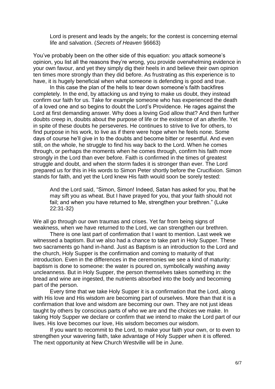Lord is present and leads by the angels; for the contest is concerning eternal life and salvation. (*Secrets of Heaven* §6663)

You've probably been on the other side of this equation: you attack someone's opinion, you list all the reasons they're wrong, you provide overwhelming evidence in your own favour, and yet they simply dig their heels in and believe their own opinion ten times more strongly than they did before. As frustrating as this experience is to have, it is hugely beneficial when what someone is defending is good and true.

In this case the plan of the hells to tear down someone's faith backfires completely. In the end, by attacking us and trying to make us doubt, they instead confirm our faith for us. Take for example someone who has experienced the death of a loved one and so begins to doubt the Lord's Providence. He rages against the Lord at first demanding answer. Why does a loving God allow that? And then further doubts creep in, doubts about the purpose of life or the existence of an afterlife. Yet in spite of these doubts he perseveres. He continues to strive to live for others, to find purpose in his work, to live as if there were hope when he feels none. Some days of course he'll give in to the doubts and become bitter or resentful. And even still, on the whole, he struggle to find his way back to the Lord. When he comes through, or perhaps the moments when he comes through, confirm his faith more strongly in the Lord than ever before. Faith is confirmed in the times of greatest struggle and doubt, and when the storm fades it is stronger than ever. The Lord prepared us for this in His words to Simon Peter shortly before the Crucifixion. Simon stands for faith, and yet the Lord knew His faith would soon be sorely tested:

And the Lord said, "Simon, Simon! Indeed, Satan has asked for you, that he may sift you as wheat. But I have prayed for you, that your faith should not fail; and when you have returned to Me, strengthen your brethren." (Luke 22:31-32)

We all go through our own traumas and crises. Yet far from being signs of weakness, when we have returned to the Lord, we can strengthen our brethren.

There is one last part of confirmation that I want to mention. Last week we witnessed a baptism. But we also had a chance to take part in Holy Supper. These two sacraments go hand in-hand. Just as Baptism is an introduction to the Lord and the church, Holy Supper is the confirmation and coming to maturity of that introduction. Even in the differences in the ceremonies we see a kind of maturity: baptism is done to someone: the water is poured on, symbolically washing away uncleanness. But in Holy Supper, the person themselves takes something in: the bread and wine are ingested, the nutrients absorbed into the body and becoming part of the person.

Every time that we take Holy Supper it is a confirmation that the Lord, along with His love and His wisdom are becoming part of ourselves. More than that it is a confirmation that love and wisdom are becoming our own. They are not just ideas taught by others by conscious parts of who we are and the choices we make. In taking Holy Supper we declare or confirm that we intend to make the Lord part of our lives. His love becomes our love, His wisdom becomes our wisdom.

If you want to recommit to the Lord, to make your faith your own, or to even to strengthen your wavering faith, take advantage of Holy Supper when it is offered. The next opportunity at New Church Westville will be in June.